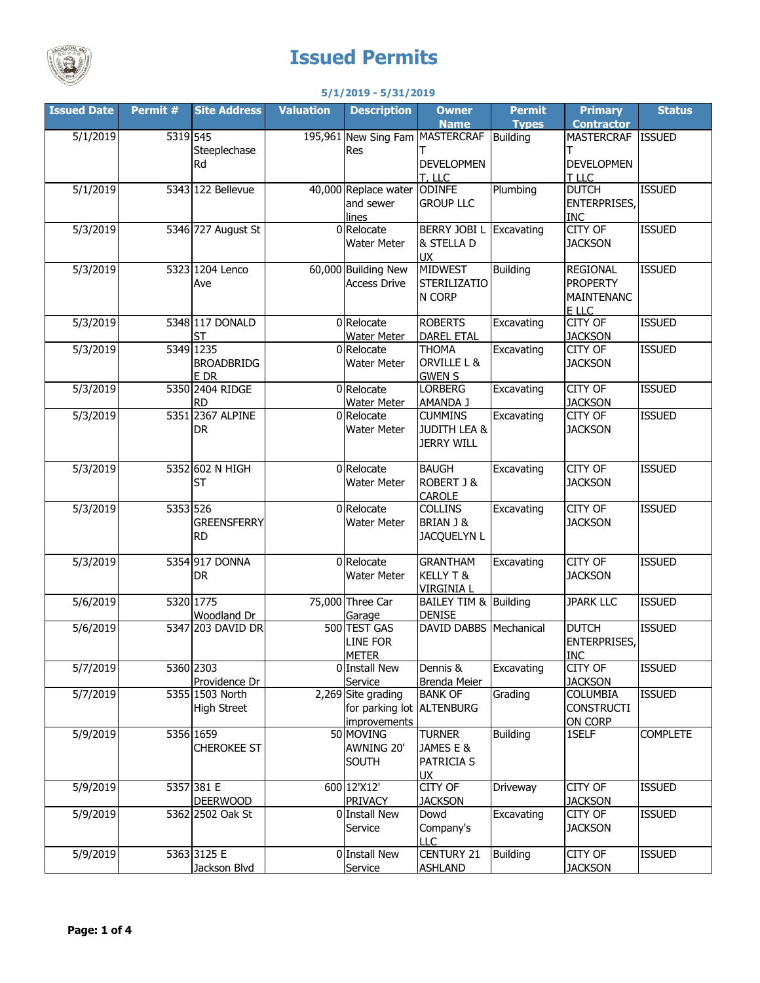

## **Issued Permits**

## **5/1/2019 - 5/31/2019**

| <b>Issued Date</b> | Permit # | <b>Site Address</b> | <b>Valuation</b> | <b>Description</b>              | <b>Owner</b>                     | <b>Permit</b>   | <b>Primary</b>      | <b>Status</b>   |
|--------------------|----------|---------------------|------------------|---------------------------------|----------------------------------|-----------------|---------------------|-----------------|
|                    |          |                     |                  |                                 | <b>Name</b>                      | <b>Types</b>    | <b>Contractor</b>   |                 |
| 5/1/2019           | 5319 545 |                     |                  | 195,961 New Sing Fam MASTERCRAF |                                  | <b>Building</b> | <b>MASTERCRAF</b>   | <b>ISSUED</b>   |
|                    |          | Steeplechase        |                  | Res                             |                                  |                 |                     |                 |
|                    |          | Rd                  |                  |                                 | <b>DEVELOPMEN</b>                |                 | <b>DEVELOPMEN</b>   |                 |
|                    |          |                     |                  |                                 | T. LLC                           |                 | <b>TLLC</b>         |                 |
| 5/1/2019           |          | 5343 122 Bellevue   |                  | 40,000 Replace water            | <b>ODINFE</b>                    | Plumbing        | <b>DUTCH</b>        | <b>ISSUED</b>   |
|                    |          |                     |                  | and sewer                       | <b>GROUP LLC</b>                 |                 | <b>ENTERPRISES,</b> |                 |
|                    |          |                     |                  | lines                           |                                  |                 | <b>INC</b>          |                 |
| 5/3/2019           |          | 5346 727 August St  |                  | 0 Relocate                      | <b>BERRY JOBI L</b>              | Excavating      | <b>CITY OF</b>      | <b>ISSUED</b>   |
|                    |          |                     |                  | <b>Water Meter</b>              | & STELLA D                       |                 | <b>JACKSON</b>      |                 |
|                    |          |                     |                  |                                 | <b>UX</b>                        |                 |                     |                 |
| 5/3/2019           |          | 5323 1204 Lenco     |                  | 60,000 Building New             | <b>MIDWEST</b>                   | <b>Building</b> | <b>REGIONAL</b>     | <b>ISSUED</b>   |
|                    |          | Ave                 |                  | <b>Access Drive</b>             | <b>STERILIZATIO</b>              |                 | <b>PROPERTY</b>     |                 |
|                    |          |                     |                  |                                 | N CORP                           |                 | MAINTENANC          |                 |
|                    |          |                     |                  |                                 |                                  |                 | E LLC               |                 |
| 5/3/2019           |          | 5348 117 DONALD     |                  | 0 Relocate                      | <b>ROBERTS</b>                   | Excavating      | <b>CITY OF</b>      | <b>ISSUED</b>   |
|                    |          | <b>ST</b>           |                  | <b>Water Meter</b>              | <b>DAREL ETAL</b>                |                 | <b>JACKSON</b>      |                 |
| 5/3/2019           |          | 5349 1235           |                  | 0 Relocate                      | <b>THOMA</b>                     | Excavating      | <b>CITY OF</b>      | <b>ISSUED</b>   |
|                    |          | <b>BROADBRIDG</b>   |                  | <b>Water Meter</b>              | ORVILLE L &                      |                 | <b>JACKSON</b>      |                 |
|                    |          | E DR                |                  |                                 | <b>GWEN S</b>                    |                 |                     |                 |
| 5/3/2019           |          | 5350 2404 RIDGE     |                  | 0 Relocate                      | <b>LORBERG</b>                   | Excavating      | <b>CITY OF</b>      | <b>ISSUED</b>   |
|                    |          | <b>RD</b>           |                  | <b>Water Meter</b>              | <b>AMANDA J</b>                  |                 | <b>JACKSON</b>      |                 |
| 5/3/2019           |          | 5351 2367 ALPINE    |                  | 0 Relocate                      | <b>CUMMINS</b>                   | Excavating      | <b>CITY OF</b>      | <b>ISSUED</b>   |
|                    |          | <b>DR</b>           |                  | <b>Water Meter</b>              | <b>JUDITH LEA &amp;</b>          |                 | <b>JACKSON</b>      |                 |
|                    |          |                     |                  |                                 | <b>JERRY WILL</b>                |                 |                     |                 |
|                    |          |                     |                  |                                 |                                  |                 |                     |                 |
| 5/3/2019           |          | 5352 602 N HIGH     |                  | 0 Relocate                      | <b>BAUGH</b>                     | Excavating      | <b>CITY OF</b>      | <b>ISSUED</b>   |
|                    |          | <b>ST</b>           |                  | <b>Water Meter</b>              | ROBERT J &                       |                 | <b>JACKSON</b>      |                 |
|                    |          |                     |                  |                                 | <b>CAROLE</b>                    |                 |                     |                 |
| 5/3/2019           | 5353 526 |                     |                  | 0 Relocate                      | <b>COLLINS</b>                   | Excavating      | <b>CITY OF</b>      | <b>ISSUED</b>   |
|                    |          | <b>GREENSFERRY</b>  |                  | Water Meter                     | BRIAN J &                        |                 | <b>JACKSON</b>      |                 |
|                    |          | <b>RD</b>           |                  |                                 | <b>JACQUELYN L</b>               |                 |                     |                 |
|                    |          |                     |                  |                                 |                                  |                 |                     |                 |
| 5/3/2019           |          | 5354 917 DONNA      |                  | 0 Relocate                      | <b>GRANTHAM</b>                  | Excavating      | <b>CITY OF</b>      | <b>ISSUED</b>   |
|                    |          | <b>DR</b>           |                  | <b>Water Meter</b>              | KELLY T &                        |                 | <b>JACKSON</b>      |                 |
|                    |          |                     |                  |                                 | VIRGINIA L                       |                 |                     |                 |
| 5/6/2019           |          | 5320 1775           |                  | 75,000 Three Car                | <b>BAILEY TIM &amp; Building</b> |                 | <b>JPARK LLC</b>    | <b>ISSUED</b>   |
|                    |          | Woodland Dr         |                  | Garage                          | <b>DENISE</b>                    |                 |                     |                 |
| 5/6/2019           |          | 5347 203 DAVID DR   |                  | 500 TEST GAS                    | DAVID DABBS Mechanical           |                 | <b>DUTCH</b>        | <b>ISSUED</b>   |
|                    |          |                     |                  | <b>LINE FOR</b>                 |                                  |                 | <b>ENTERPRISES,</b> |                 |
|                    |          |                     |                  | <b>METER</b>                    |                                  |                 | <b>INC</b>          |                 |
| 5/7/2019           |          | 5360 2303           |                  | 0 Install New                   | Dennis &                         | Excavating      | <b>CITY OF</b>      | <b>ISSUED</b>   |
|                    |          | Providence Dr       |                  | Service                         | <b>Brenda Meier</b>              |                 | <b>JACKSON</b>      |                 |
| 5/7/2019           |          | 5355 1503 North     |                  | 2,269 Site grading              | <b>BANK OF</b>                   | Grading         | <b>COLUMBIA</b>     | <b>ISSUED</b>   |
|                    |          | <b>High Street</b>  |                  | for parking lot ALTENBURG       |                                  |                 | <b>CONSTRUCTI</b>   |                 |
|                    |          |                     |                  | improvements                    |                                  |                 | ON CORP             |                 |
| 5/9/2019           |          | 5356 1659           |                  | 50 MOVING                       | <b>TURNER</b>                    | <b>Building</b> | 1SELF               | <b>COMPLETE</b> |
|                    |          | <b>CHEROKEE ST</b>  |                  | AWNING 20'                      | JAMES E &                        |                 |                     |                 |
|                    |          |                     |                  | <b>SOUTH</b>                    | PATRICIA S                       |                 |                     |                 |
|                    |          |                     |                  |                                 |                                  |                 |                     |                 |
| 5/9/2019           |          | 5357381 E           |                  | 600 12'X12'                     | UX.<br><b>CITY OF</b>            | Driveway        | CITY OF             | <b>ISSUED</b>   |
|                    |          | <b>DEERWOOD</b>     |                  | <b>PRIVACY</b>                  | <b>JACKSON</b>                   |                 | <b>JACKSON</b>      |                 |
| 5/9/2019           |          | 5362 2502 Oak St    |                  | 0 Install New                   | Dowd                             | Excavating      | <b>CITY OF</b>      | <b>ISSUED</b>   |
|                    |          |                     |                  |                                 |                                  |                 |                     |                 |
|                    |          |                     |                  | Service                         | Company's                        |                 | <b>JACKSON</b>      |                 |
|                    |          |                     |                  |                                 | <b>LLC</b>                       |                 |                     |                 |
| 5/9/2019           |          | 5363 3125 E         |                  | 0 Install New                   | <b>CENTURY 21</b>                | <b>Building</b> | CITY OF             | <b>ISSUED</b>   |
|                    |          | Jackson Blvd        |                  | Service                         | <b>ASHLAND</b>                   |                 | <b>JACKSON</b>      |                 |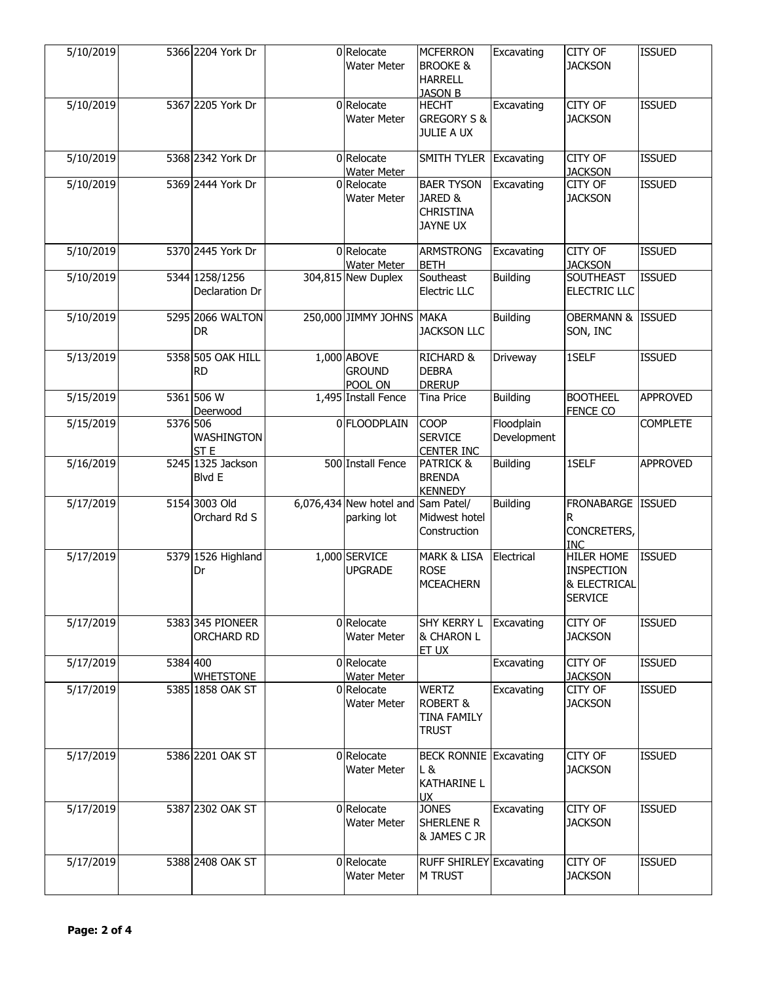| 5/10/2019 |          | 5366 2204 York Dr                  | 0 Relocate<br><b>Water Meter</b>                  | <b>MCFERRON</b><br><b>BROOKE &amp;</b><br><b>HARRELL</b><br><b>JASON B</b> | Excavating                | CITY OF<br><b>JACKSON</b>                                                           | <b>ISSUED</b>   |
|-----------|----------|------------------------------------|---------------------------------------------------|----------------------------------------------------------------------------|---------------------------|-------------------------------------------------------------------------------------|-----------------|
| 5/10/2019 |          | 5367 2205 York Dr                  | 0 Relocate<br><b>Water Meter</b>                  | <b>HECHT</b><br><b>GREGORY S &amp;</b><br>JULIE A UX                       | Excavating                | CITY OF<br><b>JACKSON</b>                                                           | <b>ISSUED</b>   |
| 5/10/2019 |          | 5368 2342 York Dr                  | 0 Relocate<br><b>Water Meter</b>                  | SMITH TYLER                                                                | Excavating                | CITY OF<br><b>JACKSON</b>                                                           | <b>ISSUED</b>   |
| 5/10/2019 |          | 5369 2444 York Dr                  | 0 Relocate<br><b>Water Meter</b>                  | <b>BAER TYSON</b><br>JARED &<br><b>CHRISTINA</b><br><b>JAYNE UX</b>        | Excavating                | CITY OF<br><b>JACKSON</b>                                                           | <b>ISSUED</b>   |
| 5/10/2019 |          | 5370 2445 York Dr                  | 0 Relocate<br>Water Meter                         | <b>ARMSTRONG</b><br><b>BETH</b>                                            | Excavating                | CITY OF<br><b>JACKSON</b>                                                           | <b>ISSUED</b>   |
| 5/10/2019 |          | 5344 1258/1256<br>Declaration Dr   | 304,815 New Duplex                                | Southeast<br><b>Electric LLC</b>                                           | <b>Building</b>           | <b>SOUTHEAST</b><br>ELECTRIC LLC                                                    | <b>ISSUED</b>   |
| 5/10/2019 |          | 5295 2066 WALTON<br><b>DR</b>      | 250,000 JIMMY JOHNS MAKA                          | <b>JACKSON LLC</b>                                                         | <b>Building</b>           | <b>OBERMANN &amp; ISSUED</b><br>SON, INC                                            |                 |
| 5/13/2019 |          | 5358 505 OAK HILL<br><b>RD</b>     | 1,000 ABOVE<br><b>GROUND</b><br>POOL ON           | <b>RICHARD &amp;</b><br><b>DEBRA</b><br><b>DRERUP</b>                      | Driveway                  | 1SELF                                                                               | <b>ISSUED</b>   |
| 5/15/2019 |          | 5361 506 W<br>Deerwood             | 1,495 Install Fence                               | <b>Tina Price</b>                                                          | <b>Building</b>           | <b>BOOTHEEL</b><br><b>FENCE CO</b>                                                  | <b>APPROVED</b> |
| 5/15/2019 | 5376 506 | WASHINGTON<br>ST <sub>E</sub>      | 0 FLOODPLAIN                                      | <b>COOP</b><br><b>SERVICE</b><br><b>CENTER INC</b>                         | Floodplain<br>Development |                                                                                     | <b>COMPLETE</b> |
| 5/16/2019 |          | 5245 1325 Jackson<br><b>Blvd E</b> | 500 Install Fence                                 | <b>PATRICK &amp;</b><br><b>BRENDA</b><br><b>KENNEDY</b>                    | <b>Building</b>           | 1SELF                                                                               | <b>APPROVED</b> |
| 5/17/2019 |          | 5154 3003 Old<br>Orchard Rd S      | 6,076,434 New hotel and Sam Patel/<br>parking lot | Midwest hotel<br>Construction                                              | Building                  | <b>FRONABARGE</b><br>R<br>CONCRETERS,<br><b>INC</b>                                 | <b>ISSUED</b>   |
| 5/17/2019 |          | 5379 1526 Highland<br>Dr           | 1,000 SERVICE<br><b>UPGRADE</b>                   | <b>MARK &amp; LISA</b><br><b>ROSE</b><br><b>MCEACHERN</b>                  | Electrical                | <b>HILER HOME</b><br><b>INSPECTION</b><br><b>&amp; ELECTRICAL</b><br><b>SERVICE</b> | <b>ISSUED</b>   |
| 5/17/2019 |          | 5383 345 PIONEER<br>ORCHARD RD     | 0 Relocate<br><b>Water Meter</b>                  | <b>SHY KERRY L</b><br>& CHARON L<br>ET UX                                  | Excavating                | CITY OF<br><b>JACKSON</b>                                                           | <b>ISSUED</b>   |
| 5/17/2019 | 5384 400 | <b>WHETSTONE</b>                   | 0 Relocate<br><b>Water Meter</b>                  |                                                                            | Excavating                | <b>CITY OF</b><br><b>JACKSON</b>                                                    | <b>ISSUED</b>   |
| 5/17/2019 |          | 5385 1858 OAK ST                   | 0 Relocate<br><b>Water Meter</b>                  | <b>WERTZ</b><br><b>ROBERT &amp;</b><br><b>TINA FAMILY</b><br><b>TRUST</b>  | Excavating                | CITY OF<br><b>JACKSON</b>                                                           | <b>ISSUED</b>   |
| 5/17/2019 |          | 5386 2201 OAK ST                   | 0 Relocate<br><b>Water Meter</b>                  | <b>BECK RONNIE Excavating</b><br>L &<br><b>KATHARINE L</b><br>UX           |                           | <b>CITY OF</b><br><b>JACKSON</b>                                                    | <b>ISSUED</b>   |
| 5/17/2019 |          | 5387 2302 OAK ST                   | 0 Relocate<br><b>Water Meter</b>                  | <b>JONES</b><br>SHERLENE R<br>& JAMES C JR                                 | Excavating                | CITY OF<br><b>JACKSON</b>                                                           | <b>ISSUED</b>   |
| 5/17/2019 |          | 5388 2408 OAK ST                   | 0 Relocate<br><b>Water Meter</b>                  | RUFF SHIRLEY Excavating<br>M TRUST                                         |                           | CITY OF<br><b>JACKSON</b>                                                           | <b>ISSUED</b>   |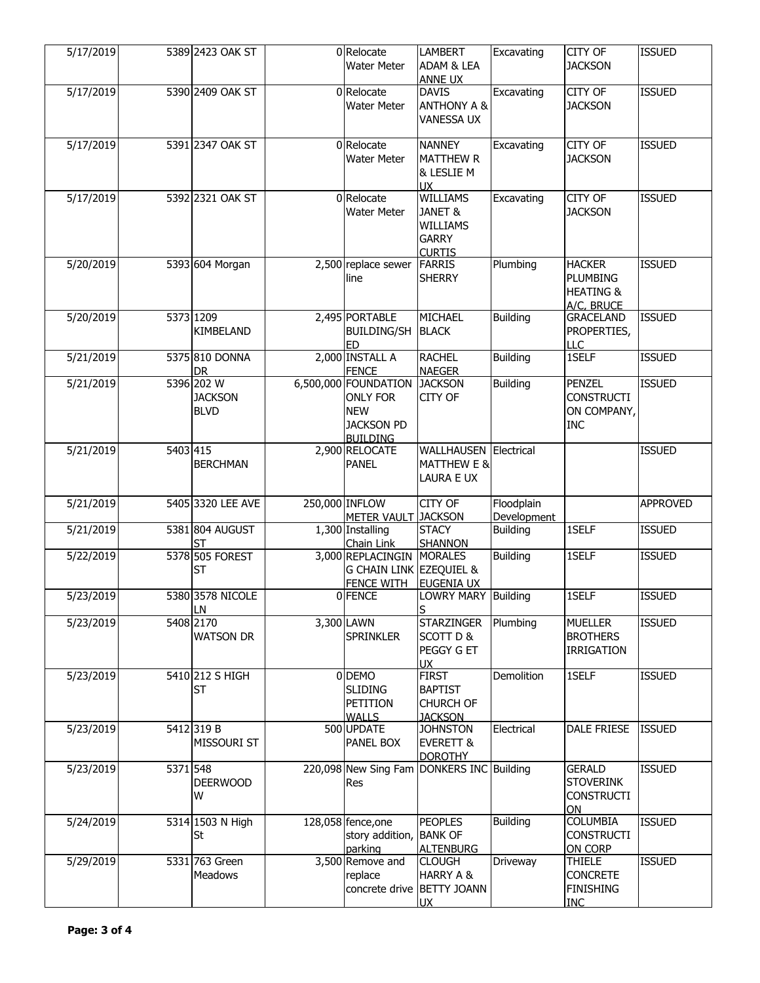| 5/17/2019 |          | 5389 2423 OAK ST                            | 0 Relocate<br><b>Water Meter</b>                                                              | <b>LAMBERT</b><br><b>ADAM &amp; LEA</b><br><b>ANNE UX</b>                      | Excavating                | CITY OF<br><b>JACKSON</b>                                              | <b>ISSUED</b>   |
|-----------|----------|---------------------------------------------|-----------------------------------------------------------------------------------------------|--------------------------------------------------------------------------------|---------------------------|------------------------------------------------------------------------|-----------------|
| 5/17/2019 |          | 5390 2409 OAK ST                            | 0 Relocate<br><b>Water Meter</b>                                                              | <b>DAVIS</b><br><b>ANTHONY A &amp;</b><br><b>VANESSA UX</b>                    | Excavating                | CITY OF<br><b>JACKSON</b>                                              | <b>ISSUED</b>   |
| 5/17/2019 |          | 5391 2347 OAK ST                            | 0 Relocate<br><b>Water Meter</b>                                                              | <b>NANNEY</b><br><b>MATTHEW R</b><br>& LESLIE M<br><b>UX</b>                   | Excavating                | CITY OF<br><b>JACKSON</b>                                              | <b>ISSUED</b>   |
| 5/17/2019 |          | 5392 2321 OAK ST                            | 0 Relocate<br><b>Water Meter</b>                                                              | <b>WILLIAMS</b><br>JANET &<br><b>WILLIAMS</b><br><b>GARRY</b><br><b>CURTIS</b> | Excavating                | <b>CITY OF</b><br><b>JACKSON</b>                                       | <b>ISSUED</b>   |
| 5/20/2019 |          | 5393 604 Morgan                             | 2,500 replace sewer<br>line                                                                   | FARRIS<br><b>SHERRY</b>                                                        | Plumbing                  | <b>HACKER</b><br><b>PLUMBING</b><br><b>HEATING &amp;</b><br>A/C, BRUCE | <b>ISSUED</b>   |
| 5/20/2019 |          | 5373 1209<br>KIMBELAND                      | 2,495 PORTABLE<br><b>BUILDING/SH BLACK</b><br><b>IED</b>                                      | MICHAEL                                                                        | <b>Building</b>           | <b>GRACELAND</b><br>PROPERTIES,<br><b>LLC</b>                          | <b>ISSUED</b>   |
| 5/21/2019 |          | 5375 810 DONNA<br><b>DR</b>                 | 2,000 INSTALL A<br><b>FENCE</b>                                                               | <b>RACHEL</b><br><b>NAEGER</b>                                                 | <b>Building</b>           | 1SELF                                                                  | <b>ISSUED</b>   |
| 5/21/2019 |          | 5396 202 W<br><b>JACKSON</b><br><b>BLVD</b> | 6,500,000 FOUNDATION<br><b>ONLY FOR</b><br><b>NEW</b><br><b>JACKSON PD</b><br><b>BUILDING</b> | <b>JACKSON</b><br>CITY OF                                                      | <b>Building</b>           | <b>PENZEL</b><br><b>CONSTRUCTI</b><br>ON COMPANY,<br><b>INC</b>        | <b>ISSUED</b>   |
| 5/21/2019 | 5403 415 | <b>BERCHMAN</b>                             | 2,900 RELOCATE<br><b>PANEL</b>                                                                | WALLHAUSEN<br><b>MATTHEW E &amp;</b><br>LAURA E UX                             | Electrical                |                                                                        | <b>ISSUED</b>   |
| 5/21/2019 |          | 5405 3320 LEE AVE                           | 250,000 INFLOW<br>METER VAULT JACKSON                                                         | CITY OF                                                                        | Floodplain<br>Development |                                                                        | <b>APPROVED</b> |
| 5/21/2019 |          | 5381 804 AUGUST<br><b>ST</b>                | 1,300 Installing<br>Chain Link                                                                | <b>STACY</b><br><b>SHANNON</b>                                                 | <b>Building</b>           | 1SELF                                                                  | <b>ISSUED</b>   |
| 5/22/2019 |          | 5378 505 FOREST<br><b>ST</b>                | 3,000 REPLACINGIN MORALES<br>G CHAIN LINK EZEQUIEL &<br><b>FENCE WITH</b>                     | EUGENIA UX                                                                     | Building                  | 1SELF                                                                  | <b>ISSUED</b>   |
| 5/23/2019 |          | 5380 3578 NICOLE<br>LN                      | 0 FENCE                                                                                       | LOWRY MARY Building<br>S                                                       |                           | 1SELF                                                                  | <b>ISSUED</b>   |
| 5/23/2019 |          | 5408 2170<br><b>WATSON DR</b>               | 3,300 LAWN<br><b>SPRINKLER</b>                                                                | <b>STARZINGER</b><br>SCOTT D &<br>PEGGY G ET<br>UX.                            | Plumbing                  | <b>MUELLER</b><br><b>BROTHERS</b><br><b>IRRIGATION</b>                 | <b>ISSUED</b>   |
| 5/23/2019 |          | 5410 212 S HIGH<br>ST                       | 0 DEMO<br><b>SLIDING</b><br>PETITION<br><b>WALLS</b>                                          | <b>FIRST</b><br><b>BAPTIST</b><br><b>CHURCH OF</b><br><b>JACKSON</b>           | Demolition                | 1SELF                                                                  | <b>ISSUED</b>   |
| 5/23/2019 |          | 5412319B<br><b>MISSOURI ST</b>              | 500 UPDATE<br>PANEL BOX                                                                       | <b>JOHNSTON</b><br><b>EVERETT &amp;</b><br><b>DOROTHY</b>                      | Electrical                | DALE FRIESE                                                            | <b>ISSUED</b>   |
| 5/23/2019 | 5371 548 | <b>DEERWOOD</b><br>W                        | Res                                                                                           | 220,098 New Sing Fam DONKERS INC Building                                      |                           | <b>GERALD</b><br><b>STOVERINK</b><br><b>CONSTRUCTI</b><br>ON           | <b>ISSUED</b>   |
| 5/24/2019 |          | 5314 1503 N High<br>St                      | 128,058 fence, one<br>story addition, BANK OF<br>parking                                      | <b>PEOPLES</b><br><b>ALTENBURG</b>                                             | <b>Building</b>           | <b>COLUMBIA</b><br><b>CONSTRUCTI</b><br>ON CORP                        | <b>ISSUED</b>   |
| 5/29/2019 |          | 5331 763 Green<br>Meadows                   | 3,500 Remove and<br>replace                                                                   | <b>CLOUGH</b><br>HARRY A &<br>concrete drive BETTY JOANN<br>UX                 | Driveway                  | <b>THIELE</b><br><b>CONCRETE</b><br><b>FINISHING</b><br><b>INC</b>     | <b>ISSUED</b>   |